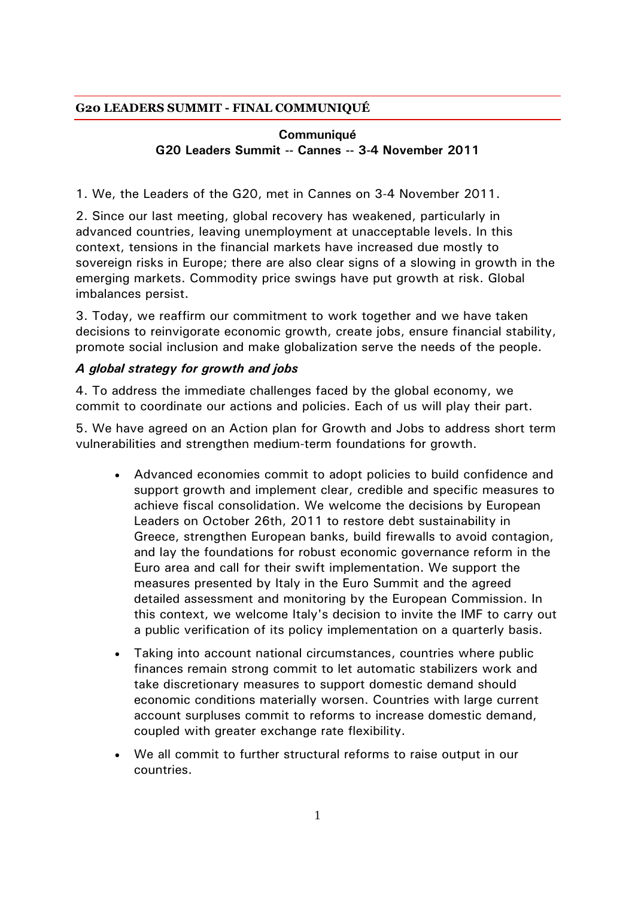# **G20 LEADERS SUMMIT - FINAL COMMUNIQUÉ**

# **Communiqué G20 Leaders Summit -- Cannes -- 3-4 November 2011**

1. We, the Leaders of the G20, met in Cannes on 3-4 November 2011.

2. Since our last meeting, global recovery has weakened, particularly in advanced countries, leaving unemployment at unacceptable levels. In this context, tensions in the financial markets have increased due mostly to sovereign risks in Europe; there are also clear signs of a slowing in growth in the emerging markets. Commodity price swings have put growth at risk. Global imbalances persist.

3. Today, we reaffirm our commitment to work together and we have taken decisions to reinvigorate economic growth, create jobs, ensure financial stability, promote social inclusion and make globalization serve the needs of the people.

# *A global strategy for growth and jobs*

4. To address the immediate challenges faced by the global economy, we commit to coordinate our actions and policies. Each of us will play their part.

5. We have agreed on an Action plan for Growth and Jobs to address short term vulnerabilities and strengthen medium-term foundations for growth.

- Advanced economies commit to adopt policies to build confidence and support growth and implement clear, credible and specific measures to achieve fiscal consolidation. We welcome the decisions by European Leaders on October 26th, 2011 to restore debt sustainability in Greece, strengthen European banks, build firewalls to avoid contagion, and lay the foundations for robust economic governance reform in the Euro area and call for their swift implementation. We support the measures presented by Italy in the Euro Summit and the agreed detailed assessment and monitoring by the European Commission. In this context, we welcome Italy's decision to invite the IMF to carry out a public verification of its policy implementation on a quarterly basis.
- Taking into account national circumstances, countries where public finances remain strong commit to let automatic stabilizers work and take discretionary measures to support domestic demand should economic conditions materially worsen. Countries with large current account surpluses commit to reforms to increase domestic demand, coupled with greater exchange rate flexibility.
- We all commit to further structural reforms to raise output in our countries.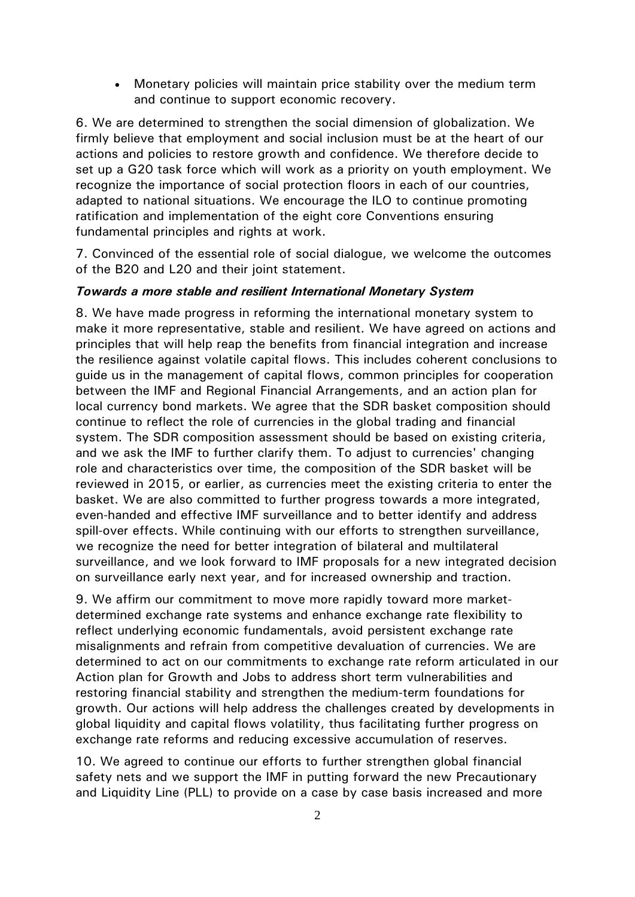Monetary policies will maintain price stability over the medium term and continue to support economic recovery.

6. We are determined to strengthen the social dimension of globalization. We firmly believe that employment and social inclusion must be at the heart of our actions and policies to restore growth and confidence. We therefore decide to set up a G20 task force which will work as a priority on youth employment. We recognize the importance of social protection floors in each of our countries, adapted to national situations. We encourage the ILO to continue promoting ratification and implementation of the eight core Conventions ensuring fundamental principles and rights at work.

7. Convinced of the essential role of social dialogue, we welcome the outcomes of the B20 and L20 and their joint statement.

#### *Towards a more stable and resilient International Monetary System*

8. We have made progress in reforming the international monetary system to make it more representative, stable and resilient. We have agreed on actions and principles that will help reap the benefits from financial integration and increase the resilience against volatile capital flows. This includes coherent conclusions to guide us in the management of capital flows, common principles for cooperation between the IMF and Regional Financial Arrangements, and an action plan for local currency bond markets. We agree that the SDR basket composition should continue to reflect the role of currencies in the global trading and financial system. The SDR composition assessment should be based on existing criteria, and we ask the IMF to further clarify them. To adjust to currencies' changing role and characteristics over time, the composition of the SDR basket will be reviewed in 2015, or earlier, as currencies meet the existing criteria to enter the basket. We are also committed to further progress towards a more integrated, even-handed and effective IMF surveillance and to better identify and address spill-over effects. While continuing with our efforts to strengthen surveillance, we recognize the need for better integration of bilateral and multilateral surveillance, and we look forward to IMF proposals for a new integrated decision on surveillance early next year, and for increased ownership and traction.

9. We affirm our commitment to move more rapidly toward more marketdetermined exchange rate systems and enhance exchange rate flexibility to reflect underlying economic fundamentals, avoid persistent exchange rate misalignments and refrain from competitive devaluation of currencies. We are determined to act on our commitments to exchange rate reform articulated in our Action plan for Growth and Jobs to address short term vulnerabilities and restoring financial stability and strengthen the medium-term foundations for growth. Our actions will help address the challenges created by developments in global liquidity and capital flows volatility, thus facilitating further progress on exchange rate reforms and reducing excessive accumulation of reserves.

10. We agreed to continue our efforts to further strengthen global financial safety nets and we support the IMF in putting forward the new Precautionary and Liquidity Line (PLL) to provide on a case by case basis increased and more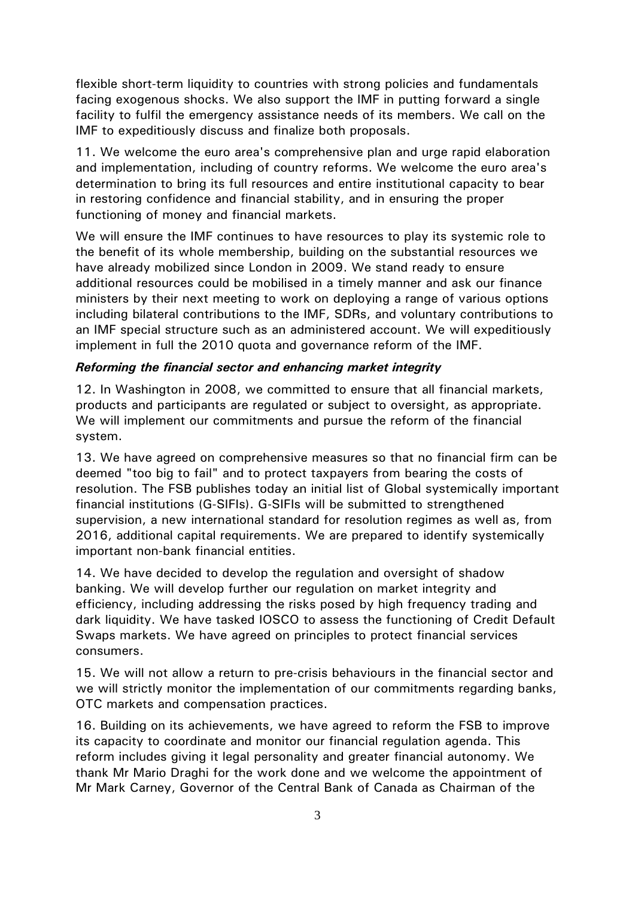flexible short-term liquidity to countries with strong policies and fundamentals facing exogenous shocks. We also support the IMF in putting forward a single facility to fulfil the emergency assistance needs of its members. We call on the IMF to expeditiously discuss and finalize both proposals.

11. We welcome the euro area's comprehensive plan and urge rapid elaboration and implementation, including of country reforms. We welcome the euro area's determination to bring its full resources and entire institutional capacity to bear in restoring confidence and financial stability, and in ensuring the proper functioning of money and financial markets.

We will ensure the IMF continues to have resources to play its systemic role to the benefit of its whole membership, building on the substantial resources we have already mobilized since London in 2009. We stand ready to ensure additional resources could be mobilised in a timely manner and ask our finance ministers by their next meeting to work on deploying a range of various options including bilateral contributions to the IMF, SDRs, and voluntary contributions to an IMF special structure such as an administered account. We will expeditiously implement in full the 2010 quota and governance reform of the IMF.

### *Reforming the financial sector and enhancing market integrity*

12. In Washington in 2008, we committed to ensure that all financial markets, products and participants are regulated or subject to oversight, as appropriate. We will implement our commitments and pursue the reform of the financial system.

13. We have agreed on comprehensive measures so that no financial firm can be deemed "too big to fail" and to protect taxpayers from bearing the costs of resolution. The FSB publishes today an initial list of Global systemically important financial institutions (G-SIFIs). G-SIFIs will be submitted to strengthened supervision, a new international standard for resolution regimes as well as, from 2016, additional capital requirements. We are prepared to identify systemically important non-bank financial entities.

14. We have decided to develop the regulation and oversight of shadow banking. We will develop further our regulation on market integrity and efficiency, including addressing the risks posed by high frequency trading and dark liquidity. We have tasked IOSCO to assess the functioning of Credit Default Swaps markets. We have agreed on principles to protect financial services consumers.

15. We will not allow a return to pre-crisis behaviours in the financial sector and we will strictly monitor the implementation of our commitments regarding banks, OTC markets and compensation practices.

16. Building on its achievements, we have agreed to reform the FSB to improve its capacity to coordinate and monitor our financial regulation agenda. This reform includes giving it legal personality and greater financial autonomy. We thank Mr Mario Draghi for the work done and we welcome the appointment of Mr Mark Carney, Governor of the Central Bank of Canada as Chairman of the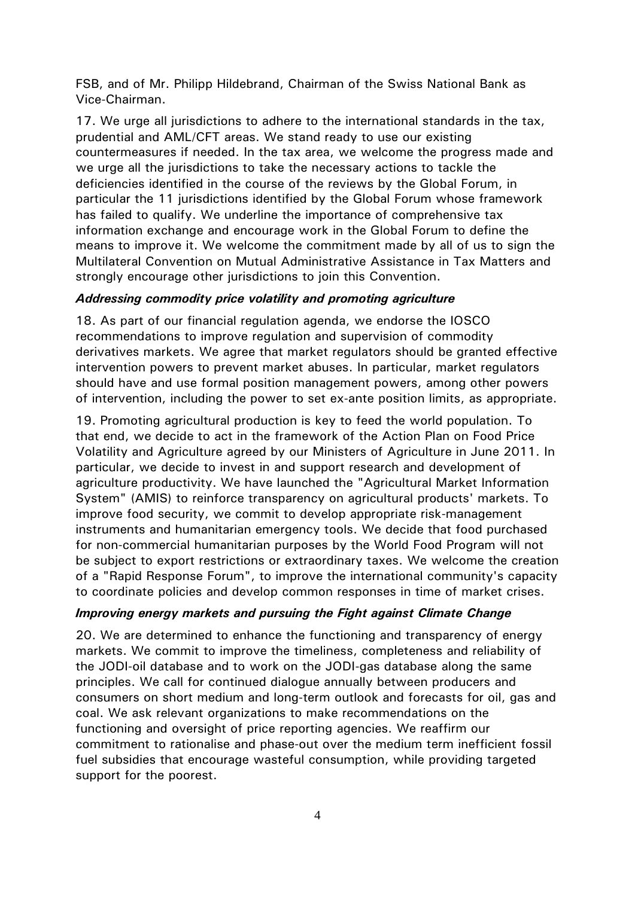FSB, and of Mr. Philipp Hildebrand, Chairman of the Swiss National Bank as Vice-Chairman.

17. We urge all jurisdictions to adhere to the international standards in the tax, prudential and AML/CFT areas. We stand ready to use our existing countermeasures if needed. In the tax area, we welcome the progress made and we urge all the jurisdictions to take the necessary actions to tackle the deficiencies identified in the course of the reviews by the Global Forum, in particular the 11 jurisdictions identified by the Global Forum whose framework has failed to qualify. We underline the importance of comprehensive tax information exchange and encourage work in the Global Forum to define the means to improve it. We welcome the commitment made by all of us to sign the Multilateral Convention on Mutual Administrative Assistance in Tax Matters and strongly encourage other jurisdictions to join this Convention.

### *Addressing commodity price volatility and promoting agriculture*

18. As part of our financial regulation agenda, we endorse the IOSCO recommendations to improve regulation and supervision of commodity derivatives markets. We agree that market regulators should be granted effective intervention powers to prevent market abuses. In particular, market regulators should have and use formal position management powers, among other powers of intervention, including the power to set ex-ante position limits, as appropriate.

19. Promoting agricultural production is key to feed the world population. To that end, we decide to act in the framework of the Action Plan on Food Price Volatility and Agriculture agreed by our Ministers of Agriculture in June 2011. In particular, we decide to invest in and support research and development of agriculture productivity. We have launched the "Agricultural Market Information System" (AMIS) to reinforce transparency on agricultural products' markets. To improve food security, we commit to develop appropriate risk-management instruments and humanitarian emergency tools. We decide that food purchased for non-commercial humanitarian purposes by the World Food Program will not be subject to export restrictions or extraordinary taxes. We welcome the creation of a "Rapid Response Forum", to improve the international community's capacity to coordinate policies and develop common responses in time of market crises.

## *Improving energy markets and pursuing the Fight against Climate Change*

20. We are determined to enhance the functioning and transparency of energy markets. We commit to improve the timeliness, completeness and reliability of the JODI-oil database and to work on the JODI-gas database along the same principles. We call for continued dialogue annually between producers and consumers on short medium and long-term outlook and forecasts for oil, gas and coal. We ask relevant organizations to make recommendations on the functioning and oversight of price reporting agencies. We reaffirm our commitment to rationalise and phase-out over the medium term inefficient fossil fuel subsidies that encourage wasteful consumption, while providing targeted support for the poorest.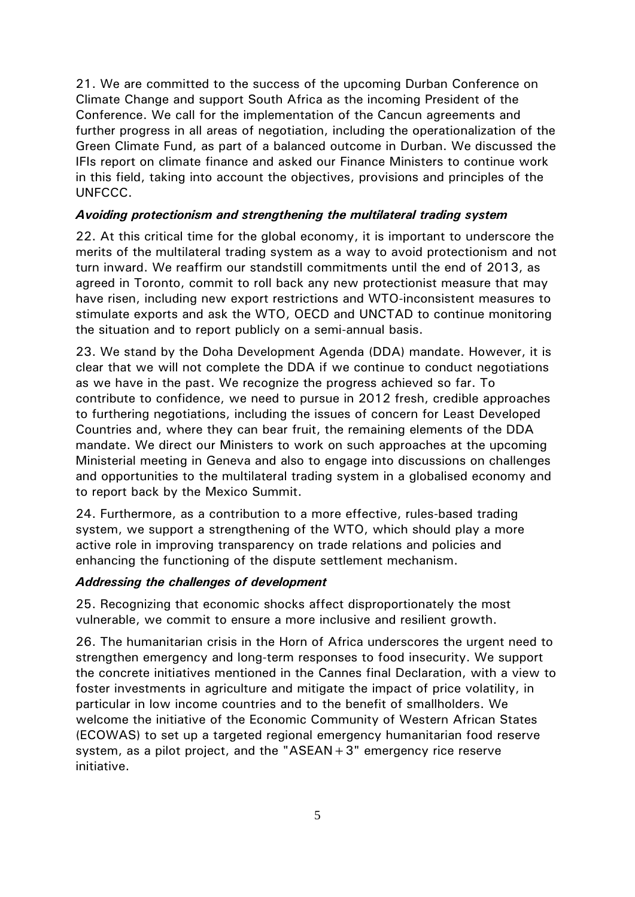21. We are committed to the success of the upcoming Durban Conference on Climate Change and support South Africa as the incoming President of the Conference. We call for the implementation of the Cancun agreements and further progress in all areas of negotiation, including the operationalization of the Green Climate Fund, as part of a balanced outcome in Durban. We discussed the IFIs report on climate finance and asked our Finance Ministers to continue work in this field, taking into account the objectives, provisions and principles of the UNFCCC.

## *Avoiding protectionism and strengthening the multilateral trading system*

22. At this critical time for the global economy, it is important to underscore the merits of the multilateral trading system as a way to avoid protectionism and not turn inward. We reaffirm our standstill commitments until the end of 2013, as agreed in Toronto, commit to roll back any new protectionist measure that may have risen, including new export restrictions and WTO-inconsistent measures to stimulate exports and ask the WTO, OECD and UNCTAD to continue monitoring the situation and to report publicly on a semi-annual basis.

23. We stand by the Doha Development Agenda (DDA) mandate. However, it is clear that we will not complete the DDA if we continue to conduct negotiations as we have in the past. We recognize the progress achieved so far. To contribute to confidence, we need to pursue in 2012 fresh, credible approaches to furthering negotiations, including the issues of concern for Least Developed Countries and, where they can bear fruit, the remaining elements of the DDA mandate. We direct our Ministers to work on such approaches at the upcoming Ministerial meeting in Geneva and also to engage into discussions on challenges and opportunities to the multilateral trading system in a globalised economy and to report back by the Mexico Summit.

24. Furthermore, as a contribution to a more effective, rules-based trading system, we support a strengthening of the WTO, which should play a more active role in improving transparency on trade relations and policies and enhancing the functioning of the dispute settlement mechanism.

#### *Addressing the challenges of development*

25. Recognizing that economic shocks affect disproportionately the most vulnerable, we commit to ensure a more inclusive and resilient growth.

26. The humanitarian crisis in the Horn of Africa underscores the urgent need to strengthen emergency and long-term responses to food insecurity. We support the concrete initiatives mentioned in the Cannes final Declaration, with a view to foster investments in agriculture and mitigate the impact of price volatility, in particular in low income countries and to the benefit of smallholders. We welcome the initiative of the Economic Community of Western African States (ECOWAS) to set up a targeted regional emergency humanitarian food reserve system, as a pilot project, and the "ASEAN+3" emergency rice reserve initiative.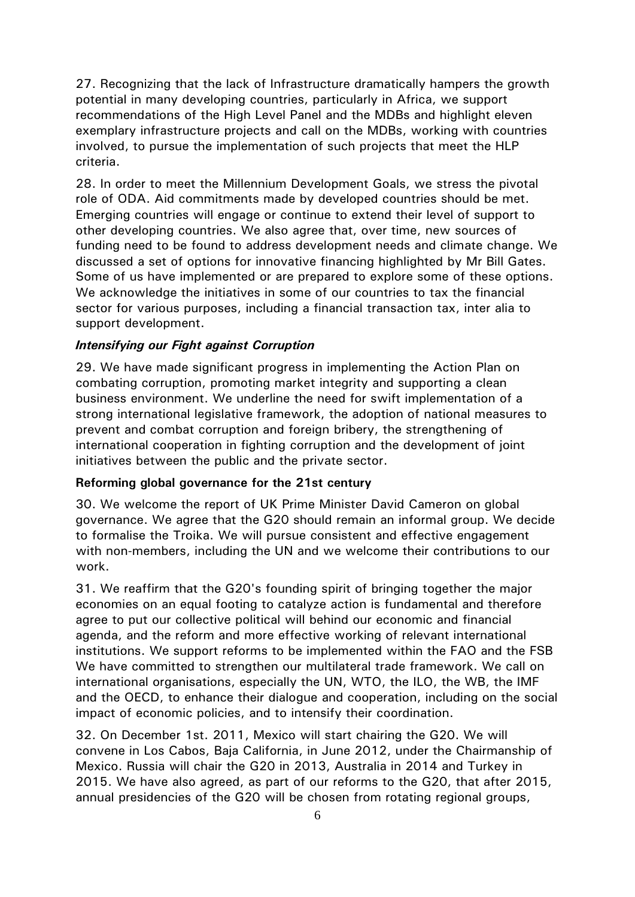27. Recognizing that the lack of Infrastructure dramatically hampers the growth potential in many developing countries, particularly in Africa, we support recommendations of the High Level Panel and the MDBs and highlight eleven exemplary infrastructure projects and call on the MDBs, working with countries involved, to pursue the implementation of such projects that meet the HLP criteria.

28. In order to meet the Millennium Development Goals, we stress the pivotal role of ODA. Aid commitments made by developed countries should be met. Emerging countries will engage or continue to extend their level of support to other developing countries. We also agree that, over time, new sources of funding need to be found to address development needs and climate change. We discussed a set of options for innovative financing highlighted by Mr Bill Gates. Some of us have implemented or are prepared to explore some of these options. We acknowledge the initiatives in some of our countries to tax the financial sector for various purposes, including a financial transaction tax, inter alia to support development.

#### *Intensifying our Fight against Corruption*

29. We have made significant progress in implementing the Action Plan on combating corruption, promoting market integrity and supporting a clean business environment. We underline the need for swift implementation of a strong international legislative framework, the adoption of national measures to prevent and combat corruption and foreign bribery, the strengthening of international cooperation in fighting corruption and the development of joint initiatives between the public and the private sector.

### **Reforming global governance for the 21st century**

30. We welcome the report of UK Prime Minister David Cameron on global governance. We agree that the G20 should remain an informal group. We decide to formalise the Troika. We will pursue consistent and effective engagement with non-members, including the UN and we welcome their contributions to our work.

31. We reaffirm that the G20's founding spirit of bringing together the major economies on an equal footing to catalyze action is fundamental and therefore agree to put our collective political will behind our economic and financial agenda, and the reform and more effective working of relevant international institutions. We support reforms to be implemented within the FAO and the FSB We have committed to strengthen our multilateral trade framework. We call on international organisations, especially the UN, WTO, the ILO, the WB, the IMF and the OECD, to enhance their dialogue and cooperation, including on the social impact of economic policies, and to intensify their coordination.

32. On December 1st. 2011, Mexico will start chairing the G20. We will convene in Los Cabos, Baja California, in June 2012, under the Chairmanship of Mexico. Russia will chair the G20 in 2013, Australia in 2014 and Turkey in 2015. We have also agreed, as part of our reforms to the G20, that after 2015, annual presidencies of the G20 will be chosen from rotating regional groups,